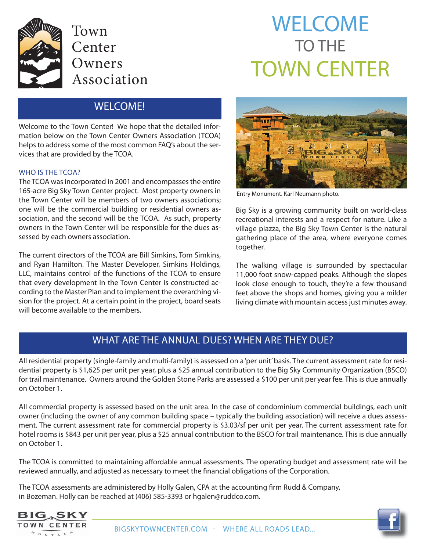

# WELCOME TO THE TOWN CENTER

## WELCOME!

Welcome to the Town Center! We hope that the detailed information below on the Town Center Owners Association (TCOA) helps to address some of the most common FAQ's about the services that are provided by the TCOA.

#### WHO IS THE TCOA?

The TCOA was incorporated in 2001 and encompasses the entire 165-acre Big Sky Town Center project. Most property owners in the Town Center will be members of two owners associations; one will be the commercial building or residential owners association, and the second will be the TCOA. As such, property owners in the Town Center will be responsible for the dues assessed by each owners association.

The current directors of the TCOA are Bill Simkins, Tom Simkins, and Ryan Hamilton. The Master Developer, Simkins Holdings, LLC, maintains control of the functions of the TCOA to ensure that every development in the Town Center is constructed according to the Master Plan and to implement the overarching vision for the project. At a certain point in the project, board seats will become available to the members.



Entry Monument. Karl Neumann photo.

Big Sky is a growing community built on world-class recreational interests and a respect for nature. Like a village piazza, the Big Sky Town Center is the natural gathering place of the area, where everyone comes together.

The walking village is surrounded by spectacular 11,000 foot snow-capped peaks. Although the slopes look close enough to touch, they're a few thousand feet above the shops and homes, giving you a milder living climate with mountain access just minutes away.

### WHAT ARE THE ANNUAL DUES? WHEN ARE THEY DUE?

All residential property (single-family and multi-family) is assessed on a 'per unit' basis. The current assessment rate for residential property is \$1,625 per unit per year, plus a \$25 annual contribution to the Big Sky Community Organization (BSCO) for trail maintenance. Owners around the Golden Stone Parks are assessed a \$100 per unit per year fee. This is due annually on October 1.

All commercial property is assessed based on the unit area. In the case of condominium commercial buildings, each unit owner (including the owner of any common building space – typically the building association) will receive a dues assessment. The current assessment rate for commercial property is \$3.03/sf per unit per year. The current assessment rate for hotel rooms is \$843 per unit per year, plus a \$25 annual contribution to the BSCO for trail maintenance. This is due annually on October 1.

The TCOA is committed to maintaining affordable annual assessments. The operating budget and assessment rate will be reviewed annually, and adjusted as necessary to meet the financial obligations of the Corporation.

The TCOA assessments are administered by Holly Galen, CPA at the accounting firm Rudd & Company, in Bozeman. Holly can be reached at (406) 585-3393 or hgalen@ruddco.com.



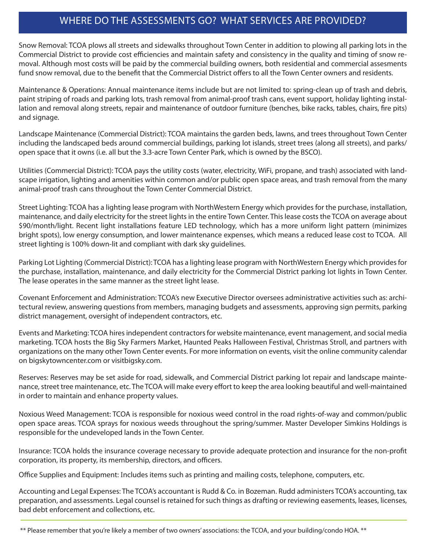## WHERE DO THE ASSESSMENTS GO? WHAT SERVICES ARE PROVIDED?

Snow Removal: TCOA plows all streets and sidewalks throughout Town Center in addition to plowing all parking lots in the Commercial District to provide cost efficiencies and maintain safety and consistency in the quality and timing of snow removal. Although most costs will be paid by the commercial building owners, both residential and commercial assesments fund snow removal, due to the benefit that the Commercial District offers to all the Town Center owners and residents.

Maintenance & Operations: Annual maintenance items include but are not limited to: spring-clean up of trash and debris, paint striping of roads and parking lots, trash removal from animal-proof trash cans, event support, holiday lighting installation and removal along streets, repair and maintenance of outdoor furniture (benches, bike racks, tables, chairs, fire pits) and signage.

Landscape Maintenance (Commercial District): TCOA maintains the garden beds, lawns, and trees throughout Town Center including the landscaped beds around commercial buildings, parking lot islands, street trees (along all streets), and parks/ open space that it owns (i.e. all but the 3.3-acre Town Center Park, which is owned by the BSCO).

Utilities (Commercial District): TCOA pays the utility costs (water, electricity, WiFi, propane, and trash) associated with landscape irrigation, lighting and amenities within common and/or public open space areas, and trash removal from the many animal-proof trash cans throughout the Town Center Commercial District.

Street Lighting: TCOA has a lighting lease program with NorthWestern Energy which provides for the purchase, installation, maintenance, and daily electricity for the street lights in the entire Town Center. This lease costs the TCOA on average about \$90/month/light. Recent light installations feature LED technology, which has a more uniform light pattern (minimizes bright spots), low energy consumption, and lower maintenance expenses, which means a reduced lease cost to TCOA. All street lighting is 100% down-lit and compliant with dark sky guidelines.

Parking Lot Lighting (Commercial District): TCOA has a lighting lease program with NorthWestern Energy which provides for the purchase, installation, maintenance, and daily electricity for the Commercial District parking lot lights in Town Center. The lease operates in the same manner as the street light lease.

Covenant Enforcement and Administration: TCOA's new Executive Director oversees administrative activities such as: architectural review, answering questions from members, managing budgets and assessments, approving sign permits, parking district management, oversight of independent contractors, etc.

Events and Marketing: TCOA hires independent contractors for website maintenance, event management, and social media marketing. TCOA hosts the Big Sky Farmers Market, Haunted Peaks Halloween Festival, Christmas Stroll, and partners with organizations on the many other Town Center events. For more information on events, visit the online community calendar on bigskytowncenter.com or visitbigsky.com.

Reserves: Reserves may be set aside for road, sidewalk, and Commercial District parking lot repair and landscape maintenance, street tree maintenance, etc. The TCOA will make every effort to keep the area looking beautiful and well-maintained in order to maintain and enhance property values.

Noxious Weed Management: TCOA is responsible for noxious weed control in the road rights-of-way and common/public open space areas. TCOA sprays for noxious weeds throughout the spring/summer. Master Developer Simkins Holdings is responsible for the undeveloped lands in the Town Center.

Insurance: TCOA holds the insurance coverage necessary to provide adequate protection and insurance for the non-profit corporation, its property, its membership, directors, and officers.

Office Supplies and Equipment: Includes items such as printing and mailing costs, telephone, computers, etc.

Accounting and Legal Expenses: The TCOA's accountant is Rudd & Co. in Bozeman. Rudd administers TCOA's accounting, tax preparation, and assessments. Legal counsel is retained for such things as drafting or reviewing easements, leases, licenses, bad debt enforcement and collections, etc.

<sup>\*\*</sup> Please remember that you're likely a member of two owners' associations: the TCOA, and your building/condo HOA. \*\*